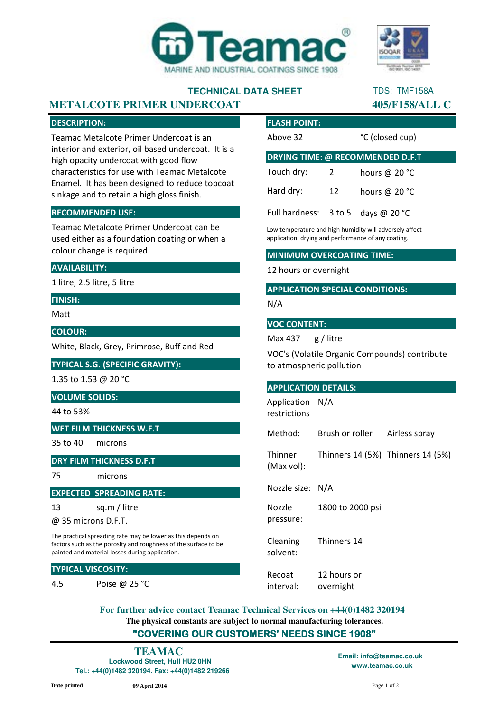

## **TECHNICAL DATA SHEET**

# TDS: TMF158A

### **METALCOTE PRIMER UNDERCOAT 405/F158/ALL C**

#### DESCRIPTION:

Teamac Metalcote Primer Undercoat is an interior and exterior, oil based undercoat. It is a high opacity undercoat with good flow characteristics for use with Teamac Metalcote Enamel. It has been designed to reduce topcoat sinkage and to retain a high gloss finish.

#### RECOMMENDED USE:

Teamac Metalcote Primer Undercoat can be used either as a foundation coating or when a colour change is required.

#### AVAILABILITY:

1 litre, 2.5 litre, 5 litre

#### FINISH:

Matt

#### COLOUR:

White, Black, Grey, Primrose, Buff and Red

### TYPICAL S.G. (SPECIFIC GRAVITY):

1.35 to 1.53 @ 20 °C

### VOLUME SOLIDS:

44 to 53%

### WET FILM THICKNESS W.F.T

35 to 40 microns

#### DRY FILM THICKNESS D.F.T

75 microns

#### EXPECTED SPREADING RATE:

13 sq.m / litre

@ 35 microns D.F.T.

The practical spreading rate may be lower as this depends on factors such as the porosity and roughness of the surface to be painted and material losses during application.

#### TYPICAL VISCOSITY:

4.5 Poise @ 25 °C

| <b>FLASH POINT:</b>                           |    |                         |
|-----------------------------------------------|----|-------------------------|
| Above 32                                      |    | °C (closed cup)         |
| <b>DRYING TIME: @ RECOMMENDED D.F.T</b>       |    |                         |
| Touch dry:                                    | 2  | hours @ 20 $^{\circ}$ C |
| Hard dry:                                     | 12 | hours @ $20 °C$         |
| Full hardness: $3 \text{ to } 5$ days @ 20 °C |    |                         |

Low temperature and high humidity will adversely affect application, drying and performance of any coating.

#### MINIMUM OVERCOATING TIME:

#### 12 hours or overnight

#### APPLICATION SPECIAL CONDITIONS:

N/A

#### VOC CONTENT:

Max 437 g / litre

VOC's (Volatile Organic Compounds) contribute to atmospheric pollution

#### APPLICATION DETAILS:

Application N/A restrictions

Method: Brush or roller Airless spray

**Thinner** (Max vol): Thinners 14 (5%) Thinners 14 (5%)

Nozzle size: N/A

Nozzle pressure: 1800 to 2000 psi

Cleaning solvent: Thinners 14

Recoat interval: 12 hours or overnight

**The physical constants are subject to normal manufacturing tolerances.** "COVERING OUR CUSTOMERS' NEEDS SINCE 1908" **For further advice contact Teamac Technical Services on +44(0)1482 320194**

## **TEAMAC Email: info@teamac.co.uk**

**Lockwood Street, Hull HU2 0HN Tel.: +44(0)1482 320194. Fax: +44(0)1482 219266**  **www.teamac.co.uk**